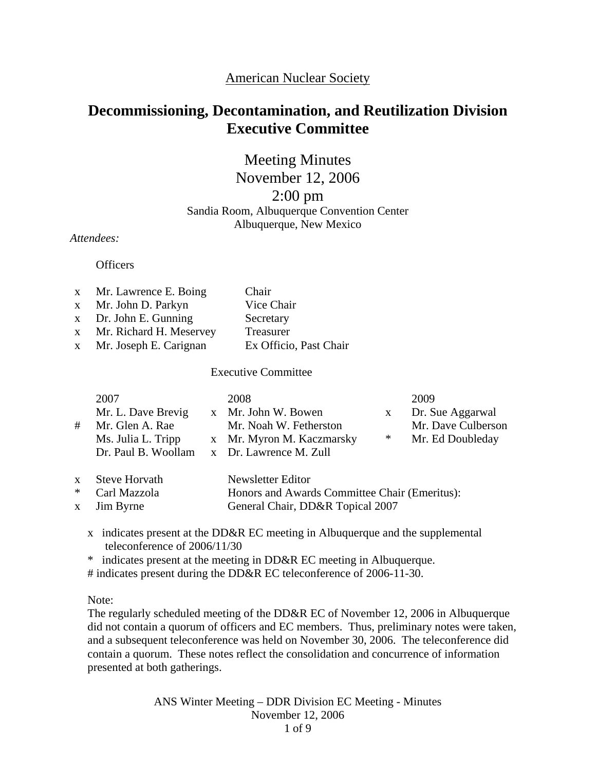# American Nuclear Society

# **Decommissioning, Decontamination, and Reutilization Division Executive Committee**

Meeting Minutes November 12, 2006 2:00 pm Sandia Room, Albuquerque Convention Center

Albuquerque, New Mexico

*Attendees:* 

**Officers** 

| x Mr. Lawrence E. Boing   | Chair                  |
|---------------------------|------------------------|
| x Mr. John D. Parkyn      | Vice Chair             |
| $x$ Dr. John E. Gunning   | Secretary              |
| x Mr. Richard H. Meservey | Treasurer              |
| x Mr. Joseph E. Carignan  | Ex Officio, Past Chair |
|                           |                        |

Executive Committee

| 2007<br>Mr. L. Dave Brevig<br># Mr. Glen A. Rae<br>Ms. Julia L. Tripp | 2008<br>x Mr. John W. Bowen<br>Mr. Noah W. Fetherston<br>x Mr. Myron M. Kaczmarsky<br>Dr. Paul B. Woollam x Dr. Lawrence M. Zull | $*$ | 2009<br>Dr. Sue Aggarwal<br>Mr. Dave Culberson<br>Mr. Ed Doubleday |
|-----------------------------------------------------------------------|----------------------------------------------------------------------------------------------------------------------------------|-----|--------------------------------------------------------------------|
| $\alpha$ , it is not in the $\alpha$                                  |                                                                                                                                  |     |                                                                    |

| x Steve Horvath | Newsletter Editor                             |
|-----------------|-----------------------------------------------|
| * Carl Mazzola  | Honors and Awards Committee Chair (Emeritus): |
| x Jim Byrne     | General Chair, DD&R Topical 2007              |

x indicates present at the DD&R EC meeting in Albuquerque and the supplemental teleconference of 2006/11/30

\* indicates present at the meeting in DD&R EC meeting in Albuquerque.

# indicates present during the DD&R EC teleconference of 2006-11-30.

Note:

The regularly scheduled meeting of the DD&R EC of November 12, 2006 in Albuquerque did not contain a quorum of officers and EC members. Thus, preliminary notes were taken, and a subsequent teleconference was held on November 30, 2006. The teleconference did contain a quorum. These notes reflect the consolidation and concurrence of information presented at both gatherings.

> ANS Winter Meeting – DDR Division EC Meeting - Minutes November 12, 2006 1 of 9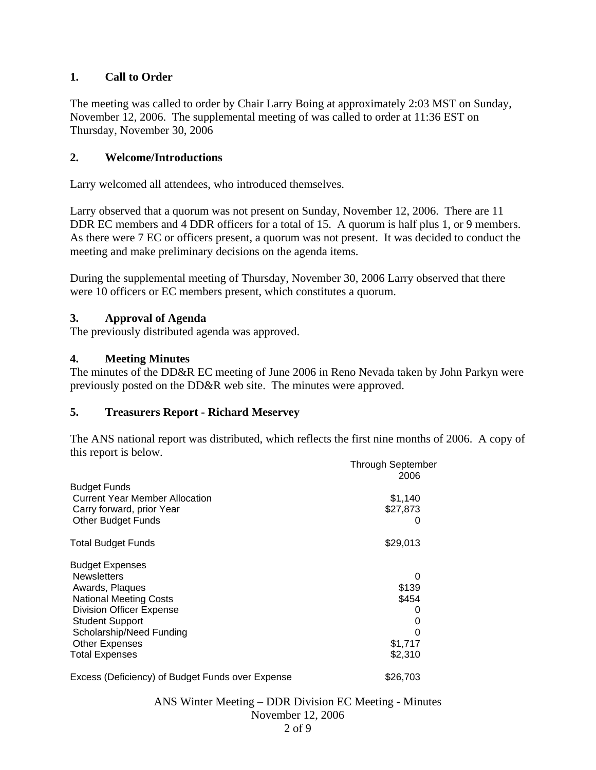# **1. Call to Order**

The meeting was called to order by Chair Larry Boing at approximately 2:03 MST on Sunday, November 12, 2006. The supplemental meeting of was called to order at 11:36 EST on Thursday, November 30, 2006

## **2. Welcome/Introductions**

Larry welcomed all attendees, who introduced themselves.

Larry observed that a quorum was not present on Sunday, November 12, 2006. There are 11 DDR EC members and 4 DDR officers for a total of 15. A quorum is half plus 1, or 9 members. As there were 7 EC or officers present, a quorum was not present. It was decided to conduct the meeting and make preliminary decisions on the agenda items.

During the supplemental meeting of Thursday, November 30, 2006 Larry observed that there were 10 officers or EC members present, which constitutes a quorum.

# **3. Approval of Agenda**

The previously distributed agenda was approved.

# **4. Meeting Minutes**

The minutes of the DD&R EC meeting of June 2006 in Reno Nevada taken by John Parkyn were previously posted on the DD&R web site. The minutes were approved.

#### **5. Treasurers Report - Richard Meservey**

The ANS national report was distributed, which reflects the first nine months of 2006. A copy of this report is below.

|                                                  | <b>Through September</b><br>2006 |
|--------------------------------------------------|----------------------------------|
| <b>Budget Funds</b>                              |                                  |
| <b>Current Year Member Allocation</b>            | \$1,140                          |
| Carry forward, prior Year                        | \$27,873                         |
| <b>Other Budget Funds</b>                        |                                  |
| <b>Total Budget Funds</b>                        | \$29,013                         |
| <b>Budget Expenses</b>                           |                                  |
| <b>Newsletters</b>                               | 0                                |
| Awards, Plaques                                  | \$139                            |
| <b>National Meeting Costs</b>                    | \$454                            |
| <b>Division Officer Expense</b>                  |                                  |
| <b>Student Support</b>                           |                                  |
| Scholarship/Need Funding                         |                                  |
| <b>Other Expenses</b>                            | \$1,717                          |
| <b>Total Expenses</b>                            | \$2,310                          |
| Excess (Deficiency) of Budget Funds over Expense | \$26,703                         |

ANS Winter Meeting – DDR Division EC Meeting - Minutes November 12, 2006 2 of 9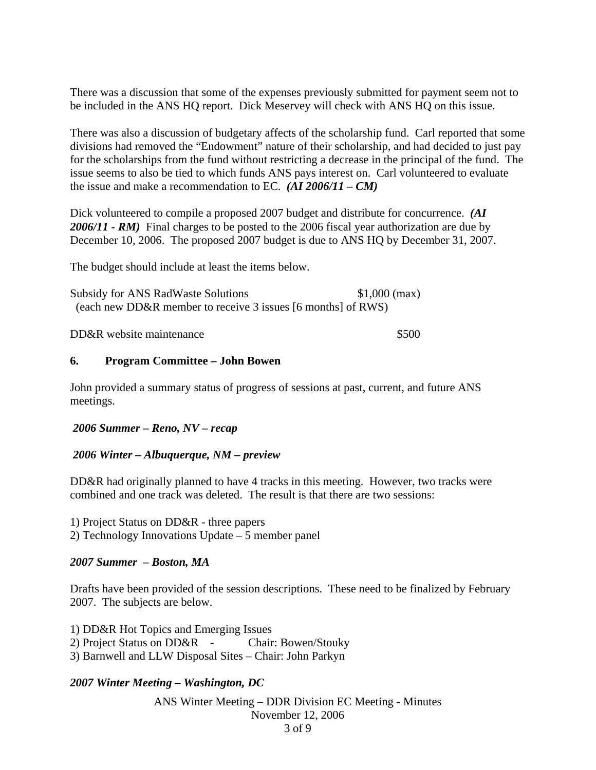There was a discussion that some of the expenses previously submitted for payment seem not to be included in the ANS HQ report. Dick Meservey will check with ANS HQ on this issue.

There was also a discussion of budgetary affects of the scholarship fund. Carl reported that some divisions had removed the "Endowment" nature of their scholarship, and had decided to just pay for the scholarships from the fund without restricting a decrease in the principal of the fund. The issue seems to also be tied to which funds ANS pays interest on. Carl volunteered to evaluate the issue and make a recommendation to EC. *(AI 2006/11 – CM)*

Dick volunteered to compile a proposed 2007 budget and distribute for concurrence. *(AI 2006/11 - RM)* Final charges to be posted to the 2006 fiscal year authorization are due by December 10, 2006. The proposed 2007 budget is due to ANS HQ by December 31, 2007.

The budget should include at least the items below.

Subsidy for ANS RadWaste Solutions \$1,000 (max) (each new DD&R member to receive 3 issues [6 months] of RWS)

DD&R website maintenance \$500

#### **6. Program Committee – John Bowen**

John provided a summary status of progress of sessions at past, current, and future ANS meetings.

#### *2006 Summer – Reno, NV – recap*

#### *2006 Winter – Albuquerque, NM – preview*

DD&R had originally planned to have 4 tracks in this meeting. However, two tracks were combined and one track was deleted. The result is that there are two sessions:

1) Project Status on DD&R - three papers 2) Technology Innovations Update – 5 member panel

#### *2007 Summer – Boston, MA*

Drafts have been provided of the session descriptions. These need to be finalized by February 2007. The subjects are below.

1) DD&R Hot Topics and Emerging Issues 2) Project Status on DD&R - Chair: Bowen/Stouky 3) Barnwell and LLW Disposal Sites – Chair: John Parkyn

#### *2007 Winter Meeting – Washington, DC*

ANS Winter Meeting – DDR Division EC Meeting - Minutes November 12, 2006 3 of 9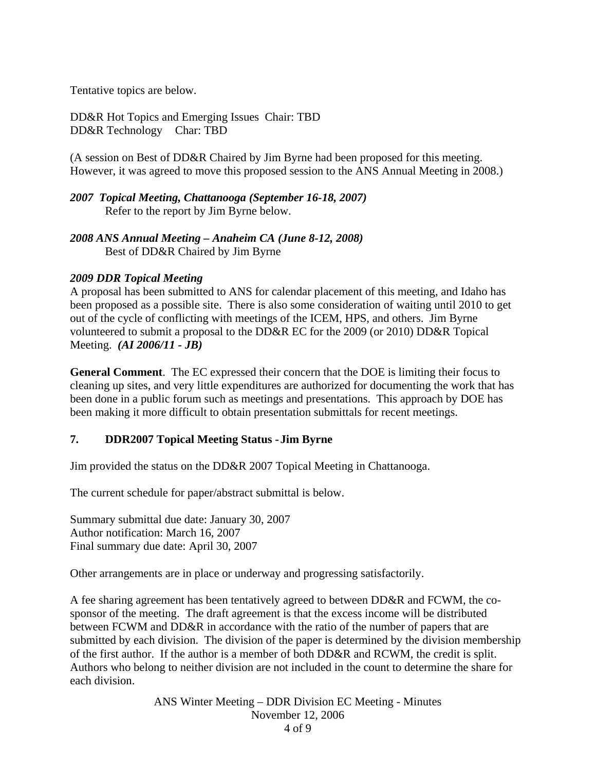Tentative topics are below.

DD&R Hot Topics and Emerging Issues Chair: TBD DD&R Technology Char: TBD

(A session on Best of DD&R Chaired by Jim Byrne had been proposed for this meeting. However, it was agreed to move this proposed session to the ANS Annual Meeting in 2008.)

*2007 Topical Meeting, Chattanooga (September 16-18, 2007)*  Refer to the report by Jim Byrne below.

*2008 ANS Annual Meeting – Anaheim CA (June 8-12, 2008)*  Best of DD&R Chaired by Jim Byrne

## *2009 DDR Topical Meeting*

A proposal has been submitted to ANS for calendar placement of this meeting, and Idaho has been proposed as a possible site. There is also some consideration of waiting until 2010 to get out of the cycle of conflicting with meetings of the ICEM, HPS, and others. Jim Byrne volunteered to submit a proposal to the DD&R EC for the 2009 (or 2010) DD&R Topical Meeting. *(AI 2006/11 - JB)* 

**General Comment**. The EC expressed their concern that the DOE is limiting their focus to cleaning up sites, and very little expenditures are authorized for documenting the work that has been done in a public forum such as meetings and presentations. This approach by DOE has been making it more difficult to obtain presentation submittals for recent meetings.

# **7. DDR2007 Topical Meeting Status - Jim Byrne**

Jim provided the status on the DD&R 2007 Topical Meeting in Chattanooga.

The current schedule for paper/abstract submittal is below.

Summary submittal due date: January 30, 2007 Author notification: March 16, 2007 Final summary due date: April 30, 2007

Other arrangements are in place or underway and progressing satisfactorily.

A fee sharing agreement has been tentatively agreed to between DD&R and FCWM, the cosponsor of the meeting. The draft agreement is that the excess income will be distributed between FCWM and DD&R in accordance with the ratio of the number of papers that are submitted by each division. The division of the paper is determined by the division membership of the first author. If the author is a member of both DD&R and RCWM, the credit is split. Authors who belong to neither division are not included in the count to determine the share for each division.

> ANS Winter Meeting – DDR Division EC Meeting - Minutes November 12, 2006 4 of 9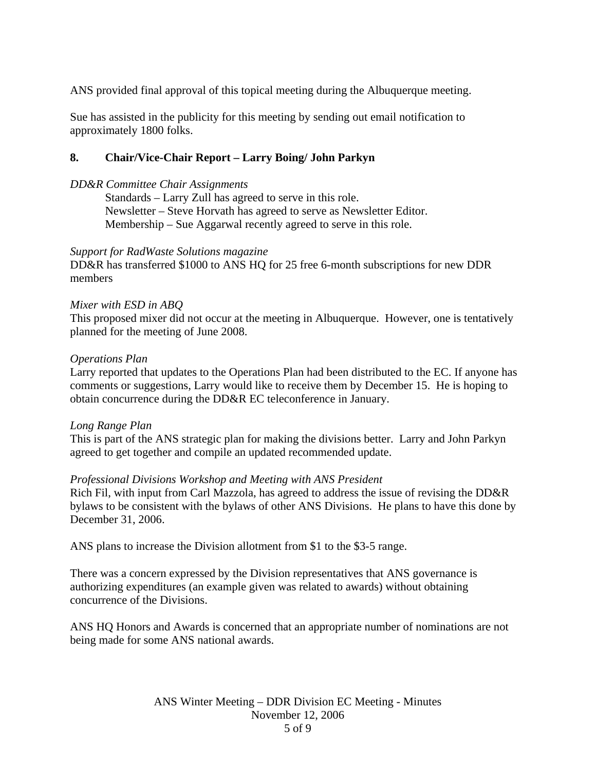ANS provided final approval of this topical meeting during the Albuquerque meeting.

Sue has assisted in the publicity for this meeting by sending out email notification to approximately 1800 folks.

# **8. Chair/Vice-Chair Report – Larry Boing/ John Parkyn**

### *DD&R Committee Chair Assignments*

 Standards – Larry Zull has agreed to serve in this role. Newsletter – Steve Horvath has agreed to serve as Newsletter Editor. Membership – Sue Aggarwal recently agreed to serve in this role.

#### *Support for RadWaste Solutions magazine*

DD&R has transferred \$1000 to ANS HQ for 25 free 6-month subscriptions for new DDR members

## *Mixer with ESD in ABQ*

This proposed mixer did not occur at the meeting in Albuquerque. However, one is tentatively planned for the meeting of June 2008.

#### *Operations Plan*

Larry reported that updates to the Operations Plan had been distributed to the EC. If anyone has comments or suggestions, Larry would like to receive them by December 15. He is hoping to obtain concurrence during the DD&R EC teleconference in January.

#### *Long Range Plan*

This is part of the ANS strategic plan for making the divisions better. Larry and John Parkyn agreed to get together and compile an updated recommended update.

#### *Professional Divisions Workshop and Meeting with ANS President*

Rich Fil, with input from Carl Mazzola, has agreed to address the issue of revising the DD&R bylaws to be consistent with the bylaws of other ANS Divisions. He plans to have this done by December 31, 2006.

ANS plans to increase the Division allotment from \$1 to the \$3-5 range.

There was a concern expressed by the Division representatives that ANS governance is authorizing expenditures (an example given was related to awards) without obtaining concurrence of the Divisions.

ANS HQ Honors and Awards is concerned that an appropriate number of nominations are not being made for some ANS national awards.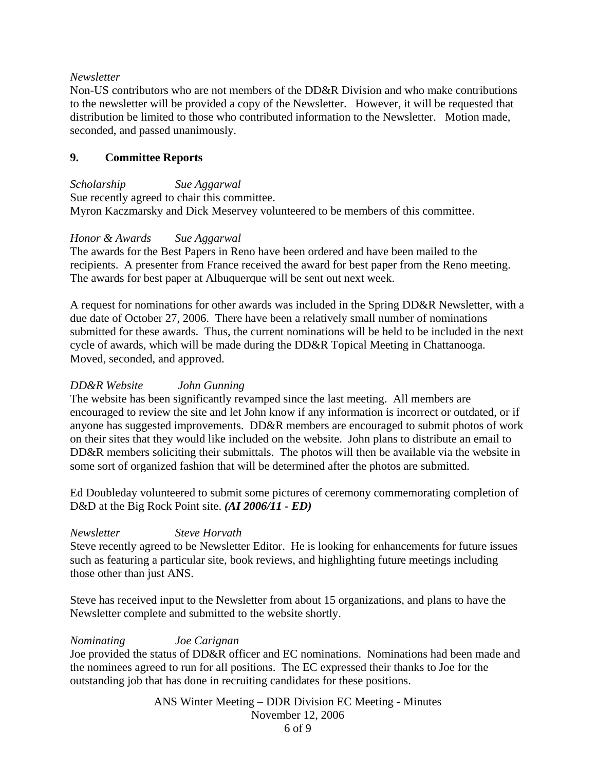## *Newsletter*

Non-US contributors who are not members of the DD&R Division and who make contributions to the newsletter will be provided a copy of the Newsletter. However, it will be requested that distribution be limited to those who contributed information to the Newsletter. Motion made, seconded, and passed unanimously.

## **9. Committee Reports**

*Scholarship Sue Aggarwal*  Sue recently agreed to chair this committee. Myron Kaczmarsky and Dick Meservey volunteered to be members of this committee.

## *Honor & Awards Sue Aggarwal*

The awards for the Best Papers in Reno have been ordered and have been mailed to the recipients. A presenter from France received the award for best paper from the Reno meeting. The awards for best paper at Albuquerque will be sent out next week.

A request for nominations for other awards was included in the Spring DD&R Newsletter, with a due date of October 27, 2006. There have been a relatively small number of nominations submitted for these awards. Thus, the current nominations will be held to be included in the next cycle of awards, which will be made during the DD&R Topical Meeting in Chattanooga. Moved, seconded, and approved.

## *DD&R Website John Gunning*

The website has been significantly revamped since the last meeting. All members are encouraged to review the site and let John know if any information is incorrect or outdated, or if anyone has suggested improvements. DD&R members are encouraged to submit photos of work on their sites that they would like included on the website. John plans to distribute an email to DD&R members soliciting their submittals. The photos will then be available via the website in some sort of organized fashion that will be determined after the photos are submitted.

Ed Doubleday volunteered to submit some pictures of ceremony commemorating completion of D&D at the Big Rock Point site. *(AI 2006/11 - ED)* 

# *Newsletter Steve Horvath*

Steve recently agreed to be Newsletter Editor. He is looking for enhancements for future issues such as featuring a particular site, book reviews, and highlighting future meetings including those other than just ANS.

Steve has received input to the Newsletter from about 15 organizations, and plans to have the Newsletter complete and submitted to the website shortly.

#### *Nominating Joe Carignan*

Joe provided the status of DD&R officer and EC nominations. Nominations had been made and the nominees agreed to run for all positions. The EC expressed their thanks to Joe for the outstanding job that has done in recruiting candidates for these positions.

> ANS Winter Meeting – DDR Division EC Meeting - Minutes November 12, 2006 6 of 9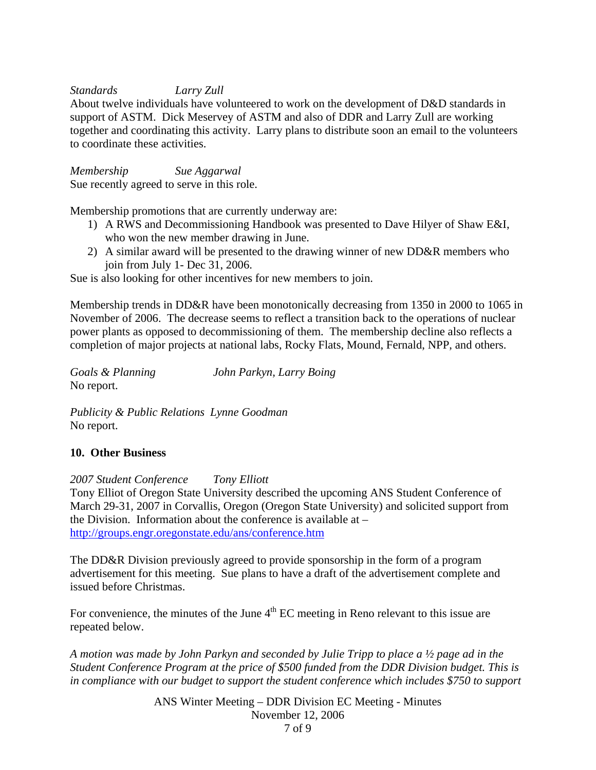## *Standards Larry Zull*

About twelve individuals have volunteered to work on the development of D&D standards in support of ASTM. Dick Meservey of ASTM and also of DDR and Larry Zull are working together and coordinating this activity. Larry plans to distribute soon an email to the volunteers to coordinate these activities.

*Membership Sue Aggarwal*  Sue recently agreed to serve in this role.

Membership promotions that are currently underway are:

- 1) A RWS and Decommissioning Handbook was presented to Dave Hilyer of Shaw E&I, who won the new member drawing in June.
- 2) A similar award will be presented to the drawing winner of new DD&R members who join from July 1- Dec 31, 2006.

Sue is also looking for other incentives for new members to join.

Membership trends in DD&R have been monotonically decreasing from 1350 in 2000 to 1065 in November of 2006. The decrease seems to reflect a transition back to the operations of nuclear power plants as opposed to decommissioning of them. The membership decline also reflects a completion of major projects at national labs, Rocky Flats, Mound, Fernald, NPP, and others.

*Goals & Planning John Parkyn, Larry Boing*  No report.

*Publicity & Public Relations Lynne Goodman*  No report.

#### **10. Other Business**

*2007 Student Conference Tony Elliott*  Tony Elliot of Oregon State University described the upcoming ANS Student Conference of March 29-31, 2007 in Corvallis, Oregon (Oregon State University) and solicited support from the Division. Information about the conference is available at  $$ <http://groups.engr.oregonstate.edu/ans/conference.htm>

The DD&R Division previously agreed to provide sponsorship in the form of a program advertisement for this meeting. Sue plans to have a draft of the advertisement complete and issued before Christmas.

For convenience, the minutes of the June  $4<sup>th</sup>$  EC meeting in Reno relevant to this issue are repeated below.

*A motion was made by John Parkyn and seconded by Julie Tripp to place a ½ page ad in the Student Conference Program at the price of \$500 funded from the DDR Division budget. This is in compliance with our budget to support the student conference which includes \$750 to support* 

> ANS Winter Meeting – DDR Division EC Meeting - Minutes November 12, 2006 7 of 9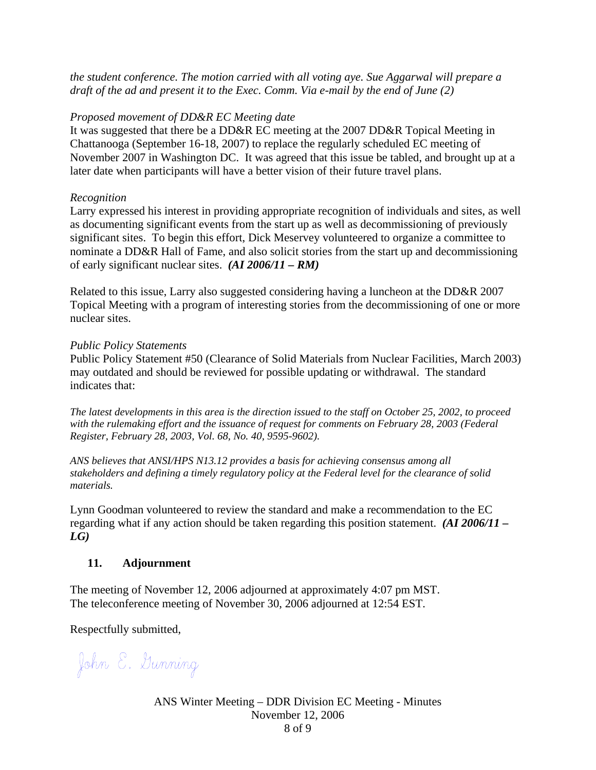*the student conference. The motion carried with all voting aye. Sue Aggarwal will prepare a draft of the ad and present it to the Exec. Comm. Via e-mail by the end of June (2)* 

#### *Proposed movement of DD&R EC Meeting date*

It was suggested that there be a DD&R EC meeting at the 2007 DD&R Topical Meeting in Chattanooga (September 16-18, 2007) to replace the regularly scheduled EC meeting of November 2007 in Washington DC. It was agreed that this issue be tabled, and brought up at a later date when participants will have a better vision of their future travel plans.

### *Recognition*

Larry expressed his interest in providing appropriate recognition of individuals and sites, as well as documenting significant events from the start up as well as decommissioning of previously significant sites. To begin this effort, Dick Meservey volunteered to organize a committee to nominate a DD&R Hall of Fame, and also solicit stories from the start up and decommissioning of early significant nuclear sites. *(AI 2006/11 – RM)* 

Related to this issue, Larry also suggested considering having a luncheon at the DD&R 2007 Topical Meeting with a program of interesting stories from the decommissioning of one or more nuclear sites.

#### *Public Policy Statements*

Public Policy Statement #50 (Clearance of Solid Materials from Nuclear Facilities, March 2003) may outdated and should be reviewed for possible updating or withdrawal. The standard indicates that:

*The latest developments in this area is the direction issued to the staff on October 25, 2002, to proceed with the rulemaking effort and the issuance of request for comments on February 28, 2003 (Federal Register, February 28, 2003, Vol. 68, No. 40, 9595-9602).* 

*ANS believes that ANSI/HPS N13.12 provides a basis for achieving consensus among all stakeholders and defining a timely regulatory policy at the Federal level for the clearance of solid materials.*

Lynn Goodman volunteered to review the standard and make a recommendation to the EC regarding what if any action should be taken regarding this position statement. *(AI 2006/11 –*   $LG$ )

# **11. Adjournment**

The meeting of November 12, 2006 adjourned at approximately 4:07 pm MST. The teleconference meeting of November 30, 2006 adjourned at 12:54 EST.

Respectfully submitted,

John E. Gunning

ANS Winter Meeting – DDR Division EC Meeting - Minutes November 12, 2006 8 of 9